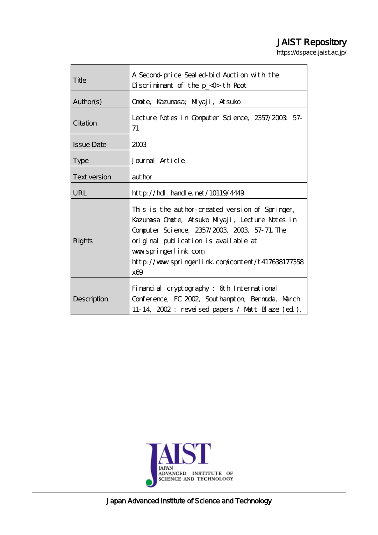# JAIST Repository

https://dspace.jaist.ac.jp/

| Title             | A Second price Sealed bid Auction with the<br>$D$ scriminant of the $p_<$ 0 th Root                                                                                                                                                                                             |
|-------------------|---------------------------------------------------------------------------------------------------------------------------------------------------------------------------------------------------------------------------------------------------------------------------------|
| Author(s)         | Onote, Kazunasa; Miyaji, Atsuko                                                                                                                                                                                                                                                 |
| Citation          | Lecture Notes in Computer Science, 2357/2003: 57-<br>71                                                                                                                                                                                                                         |
| <b>Issue Date</b> | 2003                                                                                                                                                                                                                                                                            |
| <b>Type</b>       | Journal Article                                                                                                                                                                                                                                                                 |
| Text version      | author                                                                                                                                                                                                                                                                          |
| <b>URL</b>        | $http$ // $hdl$ . handle. net/10119/4449                                                                                                                                                                                                                                        |
| Rights            | This is the author-created version of Springer,<br>Kazumasa Onote, Atsuko Miyaji, Lecture Notes in<br>Computer Science, 2357/2003, 2003, 57-71. The<br>original publication is available at<br>www.springerlink.com<br>http://www.springerlink.com/content/t417638177358<br>x69 |
| Description       | Financial cryptography: 6th International<br>Conference, FC 2002, Southampton, Bernarda, March<br>11-14, 2002: reveised papers / Matt Blaze (ed).                                                                                                                               |



Japan Advanced Institute of Science and Technology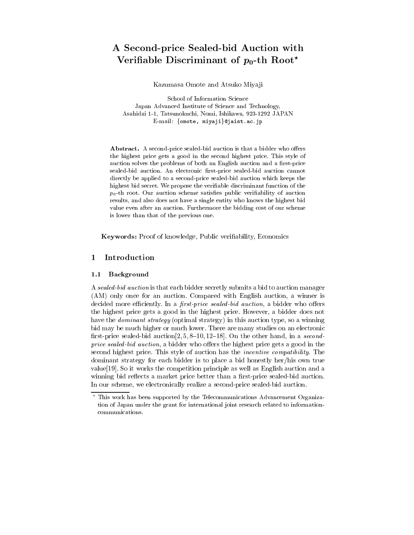# A Second-price Sealed-bid Auction with Verifiable Discriminant of  $p_0$ -th Root<sup>\*</sup>

Kazumasa Omote and Atsuko Miyaji

School of Information Science Japan Advanced Institute of Science and Technology, Asahidai 1-1, Tatsunokuchi, Nomi, Ishikawa, 923-1292 JAPAN E-mail: {omote, miyaji}@jaist.ac.jp

Abstract. A second-price sealed-bid auction is that a bidder who offers the highest price gets a good in the second highest price. This style of auction solves the problems of both an English auction and a first-price sealed-bid auction. An electronic first-price sealed-bid auction cannot directly be applied to a second-price sealed-bid auction which keeps the highest bid secret. We propose the veriable discriminant function of the  $p_0$ -th root. Our auction scheme satisfies public verifiability of auction results, and also does not have a single entity who knows the highest bid value even after an auction. Furthermore the bidding cost of our scheme is lower than that of the previous one.

Keywords: Proof of knowledge, Public veriability, Economics

### $\mathbf{1}$ **Introduction**

### 1.1 Background

A sealed-bid auction is that each bidder secretly submits a bid to auction manager (AM) only once for an auction. Compared with English auction, a winner is decided more efficiently. In a *first-price sealed-bid auction*, a bidder who offers the highest price gets a good in the highest price. However, a bidder does not have the *dominant strategy* (optimal strategy) in this auction type, so a winning bid may be much higher or much lower. There are many studies on an electronic first-price sealed-bid auction  $[2, 5, 8{-}10, 12{-}18]$ . On the other hand, in a secondprice sealed-bid auction, a bidder who offers the highest price gets a good in the second highest price. This style of auction has the *incentive compatibility*. The dominant strategy for each bidder is to place a bid honestly her/his own true value[19]. So it works the competition principle as well as English auction and a winning bid reflects a market price better than a first-price sealed-bid auction. In our scheme, we electronically realize a second-price sealed-bid auction.

<sup>?</sup> This work has been supported by the Telecommunications Advancement Organization of Japan under the grant for international joint research related to information communications.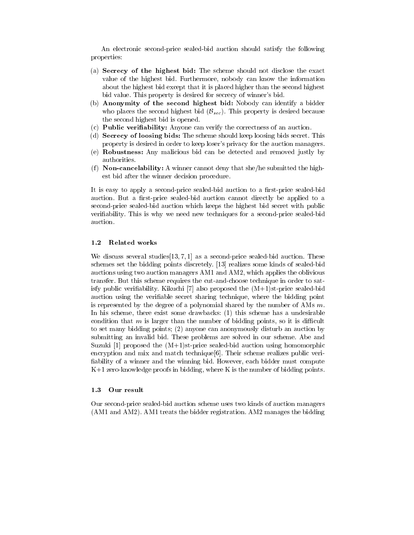An electronic second-price sealed-bid auction should satisfy the following properties:

- (a) Secrecy of the highest bid: The scheme should not disclose the exact value of the highest bid. Furthermore, nobody can know the information about the highest bid except that it is placed higher than the second highest bid value. This property is desired for secrecy of winner's bid.
- (b) Anonymity of the second highest bid: Nobody can identify a bidder who places the second highest bid  $(\mathcal{B}_{sec})$ . This property is desired because the second highest bid is opened.
- (c) Public veriability: Anyone can verify the correctness of an auction.
- (d) Secrecy of loosing bids: The scheme should keep loosing bids secret. This property is desired in order to keep loser's privacy for the auction managers.
- (e) Robustness: Any malicious bid can be detected and removed justly by authorities.
- (f) **Non-cancelability:** A winner cannot deny that she/he submitted the highest bid after the winner decision procedure.

It is easy to apply a second-price sealed-bid auction to a first-price sealed-bid auction. But a first-price sealed-bid auction cannot directly be applied to a second-price sealed-bid auction which keeps the highest bid secret with public veriability. This is why we need new techniques for a second-price sealed-bid auction.

### 1.2 Related works

We discuss several studies  $[13, 7, 1]$  as a second-price sealed-bid auction. These schemes set the bidding points discretely. [13] realizes some kinds of sealed-bid auctions using two auction managers AM1 and AM2, which applies the oblivious transfer. But this scheme requires the cut-and-choose technique in order to satisfy public verifiability. Kikuchi  $[7]$  also proposed the  $(M+1)$ st-price sealed-bid auction using the veriable secret sharing technique, where the bidding point is represented by the degree of a polynomial shared by the number of AMs  $m$ . In his scheme, there exist some drawbacks: (1) this scheme has a undesirable condition that  $m$  is larger than the number of bidding points, so it is difficult to set many bidding points; (2) anyone can anonymously disturb an auction by submitting an invalid bid. These problems are solved in our scheme. Abe and Suzuki [1] proposed the  $(M+1)$ st-price sealed-bid auction using homomorphic encryption and mix and match technique[6]. Their scheme realizes public veri ability of a winner and the winning bid. However, each bidder must compute K+1 zero-knowledge proofs in bidding, where K is the number of bidding points.

### 1.3 Our result

Our second-price sealed-bid auction scheme uses two kinds of auction managers (AM1 and AM2). AM1 treats the bidder registration. AM2 manages the bidding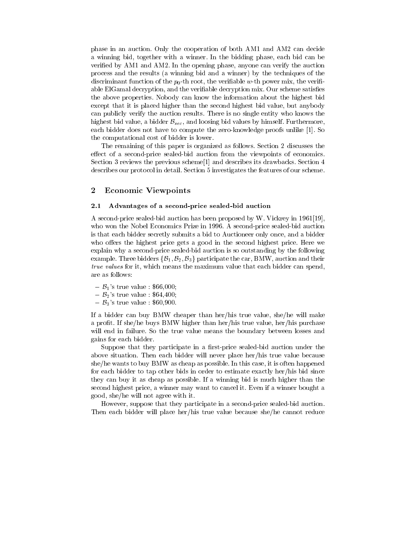phase in an auction. Only the cooperation of both AM1 and AM2 can decide a winning bid, together with a winner. In the bidding phase, each bid can be verified by AM1 and AM2. In the opening phase, anyone can verify the auction process and the results (a winning bid and a winner) by the techniques of the discriminant function of the  $p_0$ -th root, the verifiable w-th power mix, the verifiable ElGamal decryption, and the verifiable decryption mix. Our scheme satisfies the above properties. Nobody can know the information about the highest bid except that it is placed higher than the second highest bid value, but anybody can publicly verify the auction results. There is no single entity who knows the highest bid value, a bidder  $\mathcal{B}_{sec}$ , and loosing bid values by himself. Furthermore, each bidder does not have to compute the zero-knowledge proofs unlike [1]. So the computational cost of bidder is lower.

The remaining of this paper is organized as follows. Section 2 discusses the effect of a second-price sealed-bid auction from the viewpoints of economics. Section 3 reviews the previous scheme[1] and describes its drawbacks. Section 4 describes our protocol in detail. Section 5 investigates the features of our scheme.

## <sup>2</sup> Economic Viewpoints

### 2.1 Advantages of a second-price sealed-bid auction

A second-price sealed-bid auction has been proposed by W. Vickrey in 1961[19], who won the Nobel Economics Prize in 1996. A second-price sealed-bid auction is that each bidder secretly submits a bid to Auctioneer only once, and a bidder who offers the highest price gets a good in the second highest price. Here we explain why a second-price sealed-bid auction is so outstanding by the following example. Three bidders  $\{\mathcal{B}_1, \mathcal{B}_2, \mathcal{B}_3\}$  participate the car, BMW, auction and their true values for it, which means the maximum value that each bidder can spend, are as follows:

- ${\bf -B}_1$ 's true value : \$66,000;
- $\mathcal{B}_2$ 's true value : \$64,400;
- $B_3$ 's true value : \$60,900.

If a bidder can buy BMW cheaper than her/his true value, she/he will make a profit. If she/he buys BMW higher than her/his true value, her/his purchase will end in failure. So the true value means the boundary between losses and gains for each bidder.

Suppose that they participate in a first-price sealed-bid auction under the above situation. Then each bidder will never place her/his true value because she/he wants to buy BMW as cheap as possible. In this case, it is often happened for each bidder to tap other bids in order to estimate exactly her/his bid since they can buy it as cheap as possible. If a winning bid is much higher than the second highest price, a winner may want to cancel it. Even if a winner bought a good, she/he will not agree with it.

However, suppose that they participate in a second-price sealed-bid auction. Then each bidder will place her/his true value because she/he cannot reduce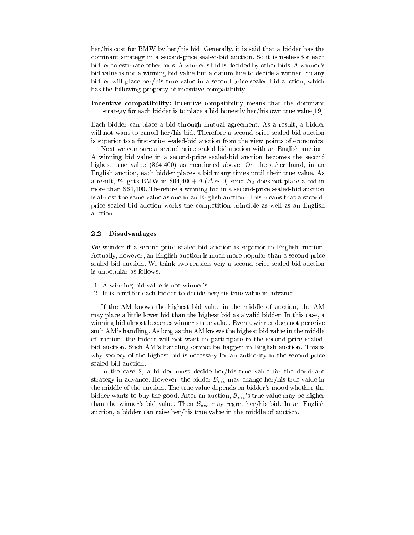her/his cost for BMW by her/his bid. Generally, it is said that a bidder has the dominant strategy in a second-price sealed-bid auction. So it is useless for each bidder to estimate other bids. A winner's bid is decided by other bids. A winner's bid value is not a winning bid value but a datum line to decide a winner. So any bidder will place her/his true value in a second-price sealed-bid auction, which has the following property of incentive compatibility.

Incentive compatibility: Incentive compatibility means that the dominant strategy for each bidder is to place a bid honestly her/his own true value[19].

Each bidder can place a bid through mutual agreement. As a result, a bidder will not want to cancel her/his bid. Therefore a second-price sealed-bid auction is superior to a first-price sealed-bid auction from the view points of economics.

Next we compare a second-price sealed-bid auction with an English auction. A winning bid value in a second-price sealed-bid auction becomes the second highest true value (\$64,400) as mentioned above. On the other hand, in an English auction, each bidder places a bid many times until their true value. As a result,  $\mathcal{B}_1$  gets BMW in \$64,400+ $\Delta$  ( $\Delta \simeq 0$ ) since  $\mathcal{B}_2$  does not place a bid in more than \$64,400. Therefore a winning bid in a second-price sealed-bid auction is almost the same value as one in an English auction. This means that a secondprice sealed-bid auction works the competition principle as well as an English auction.

### 2.2 Disadvantages

We wonder if a second-price sealed-bid auction is superior to English auction. Actually, however, an English auction is much more popular than a second-price sealed-bid auction. We think two reasons why a second-price sealed-bid auction is unpopular as follows:

- 1. A winning bid value is not winner's.
- 2. It is hard for each bidder to decide her/his true value in advance.

If the AM knows the highest bid value in the middle of auction, the AM may place a little lower bid than the highest bid as a valid bidder. In this case, a winning bid almost becomes winner's true value. Even a winner does not perceive such AM's handling. As long as the AM knows the highest bid value in the middle of auction, the bidder will not want to participate in the second-price sealedbid auction. Such AM's handling cannot be happen in English auction. This is why secrecy of the highest bid is necessary for an authority in the second-price sealed-bid auction.

In the case 2, a bidder must decide her/his true value for the dominant strategy in advance. However, the bidder  $\mathcal{B}_{sec}$  may change her/his true value in the middle of the auction. The true value depends on bidder's mood whether the bidder wants to buy the good. After an auction,  $B_{sec}$ 's true value may be higher than the winner's bid value. Then  $\mathcal{B}_{sec}$  may regret her/his bid. In an English auction, a bidder can raise her/his true value in the middle of auction.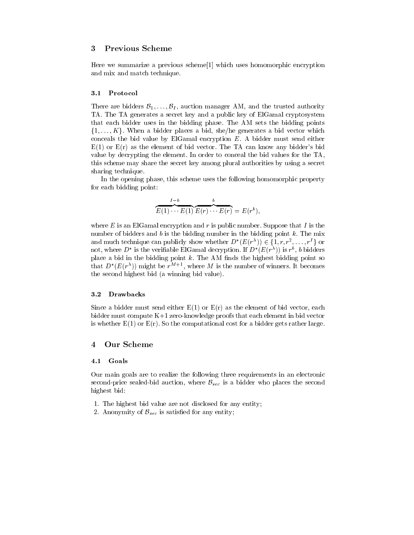## <sup>3</sup> Previous Scheme

Here we summarize a previous scheme[1] which uses homomorphic encryption and mix and match technique.

### 3.1 3.1 Protocol

There are bidders  $\mathcal{B}_1,\ldots,\mathcal{B}_I$ , auction manager AM, and the trusted authority TA. The TA generates a secret key and a public key of ElGamal cryptosystem that each bidder uses in the bidding phase. The AM sets the bidding points  $\{1,\ldots,K\}$ . When a bidder places a bid, she/he generates a bid vector which conceals the bid value by ElGamal encryption  $E$ . A bidder must send either  $E(1)$  or  $E(r)$  as the element of bid vector. The TA can know any bidder's bid value by decrypting the element. In order to conceal the bid values for the TA, this scheme may share the secret key among plural authorities by using a secret sharing technique.

In the opening phase, this scheme uses the following homomorphic property for each bidding point:

$$
\overbrace{E(1)\cdots E(1)}^{I-b}\overbrace{E(r)\cdots E(r)}^{b}=E(r^{b}),
$$

where  $E$  is an ElGamal encryption and  $r$  is public number. Suppose that  $I$  is the number of bidders and  $b$  is the bidding number in the bidding point  $k$ . The mix and much technique can publicly show whether  $D^*(E(r^{\lambda})) \in \{1, r, r^2, \ldots, r^I\}$  or not, where  $D$  is the verifiable ElGamal decryption. If  $D^-(E(T^+))$  is  $r^*,\,v$  bidders place a bid in the bidding point  $k$ . The AM finds the highest bidding point so that  $D$  ( $E(T)$ ) might be  $T^+$  , where  $M$  is the number of winners. It becomes the second highest bid (a winning bid value).

### 3.2 Drawbacks

Since a bidder must send either  $E(1)$  or  $E(r)$  as the element of bid vector, each bidder must compute K+1 zero-knowledge proofs that each element in bid vector is whether  $E(1)$  or  $E(r)$ . So the computational cost for a bidder gets rather large.

## <sup>4</sup> Our Scheme

### 4.1 Goals

Our main goals are to realize the following three requirements in an electronic second-price sealed-bid auction, where  $\mathcal{B}_{sec}$  is a bidder who places the second highest bid:

- 1. The highest bid value are not disclosed for any entity;
- 2. Anonymity of  $\mathcal{B}_{sec}$  is satisfied for any entity;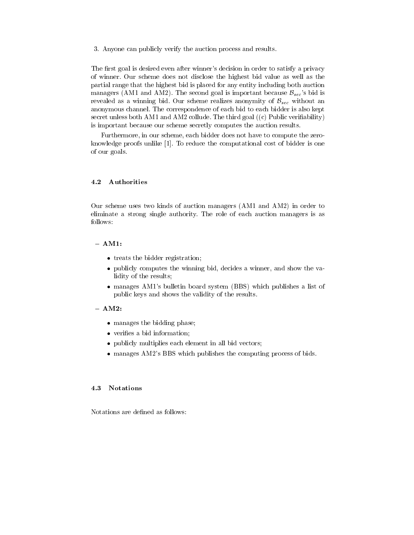3. Anyone can publicly verify the auction process and results.

The first goal is desired even after winner's decision in order to satisfy a privacy of winner. Our scheme does not disclose the highest bid value as well as the partial range that the highest bid is placed for any entity including both auction managers (AM1 and AM2). The second goal is important because  $B_{sec}$ 's bid is revealed as a winning bid. Our scheme realizes anonymity of  $\mathcal{B}_{sec}$  without an anonymous channel. The correspondence of each bid to each bidder is also kept secret unless both AM1 and AM2 collude. The third goal  $((c)$  Public verifiability) is important because our scheme secretly computes the auction results.

Furthermore, in our scheme, each bidder does not have to compute the zeroknowledge proofs unlike [1]. To reduce the computational cost of bidder is one of our goals.

Our scheme uses two kinds of auction managers (AM1 and AM2) in order to eliminate a strong single authority. The role of each auction managers is as follows:

## $- AM1:$

- $\bullet$  treats the bidder registration;
- publicly computes the winning bid, decides a winner, and show the validity of the results;
- manages AM1's bulletin board system (BBS) which publishes a list of public keys and shows the validity of the results.

### $- AM2:$

- manages the bidding phase;
- veries a bid information;
- publicly multiplies each element in all bid vectors;
- manages AM2's BBS which publishes the computing process of bids.

### 4.3 **Notations**

Notations are defined as follows: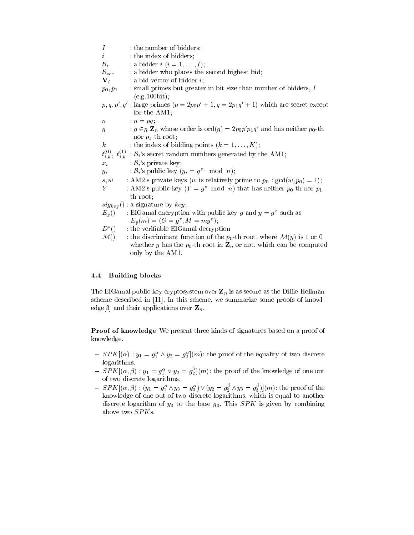$I$  : the number of bidders;  $i$  : the index of bidders;  $\mathcal{B}_i$  : a bidder  $i$   $(i = 1, \ldots, I)$ ;  $B_{sec}$  : a bidder who places the second highest bid;  $\mathbf{V}_i$  : a bid vector of bidder *i*;  $p_0, p_1$  : small primes but greater in bit size than number of bidders, I (e.g.100bit);  $p, q, p, q$  : large primes  $(p = 2p_0p_1 + 1, q = 2p_1q_1 + 1)$  which are secret except for the AM1;  $n = pq;$  $g$  :  $g \in_R \mathbb{Z}_n$  whose order is  $\text{ord}(g) = 2p_0p'p_1q'$  and has neither  $p_0$ -th nor  $p_1$ -th root; k : the index of bidding points  $(k = 1, \ldots, K)$ ;  $t_{i,k}^{\left( \,0\right) },$  $\mathcal{L}_{i,k}^{(0)}$ ,  $t_{i,k}^{(1)}$ :  $\mathcal{B}_{i}$ 's secret random numbers generated by the AM1;  $x_i$  :  $\mathcal{B}_i$ 's private key;  $y_i$  :  $\mathcal{B}_i$ 's public key  $(y_i = g^{x_i} \mod n);$ s, w : AM2's private keys (w is relatively prime to  $p_0$ :  $gcd(w, p_0) = 1$ ); Y : AM2's public key  $(Y = g^s \mod n)$  that has neither  $p_0$ -th nor  $p_1$ th root;  $sig_{key}()$ : a signature by  $key$ ;  $E_y()$  : Elgamal encryption with public key g and  $y = g^2$  such as  $E_y(m) = (G = g, M = my)$ ;  $D^*()$ : the verifiable ElGamal decryption  $\mathcal{M}()$  : the discriminant function of the  $p_0$ -th root, where  $\mathcal{M}(y)$  is 1 or 0 whether y has the  $p_0$ -th root in  $\mathbf{Z}_n$  or not, which can be computed only by the AM1.

### 4.4 Building blocks

The ElGamal public-key cryptosystem over  $\mathbb{Z}_n$  is as secure as the Diffie-Hellman scheme described in [11]. In this scheme, we summarize some proofs of knowledge[3] and their applications over  $\mathbf{Z}_n$ .

Proof of knowledge We present three kinds of signatures based on a proof of knowledge.

- ${} S P K |(\alpha) : y_1 = g_1^{\alpha} \wedge y_2 = g_2^{\alpha} |(m)$ : the proof of the equality of two discrete logarithms.
- $S = S P K | (\alpha, \beta) : y_1 = g_1^{\alpha} \vee y_2 = g_2^{\nu} | (m)$ : the proof of the knowledge of one out of two discrete logarithms.
- $S = S P K \left[ (\alpha, \beta) : (y_1 = g_1^{\alpha} \wedge y_3 = g_3^{\alpha}) \vee (y_2 = g_2^{\alpha} \wedge y_3 = g_3^{\alpha}) \right] (m)$ : the proof of the knowledge of one out of two discrete logarithms, which is equal to another discrete logarithm of  $y_3$  to the base  $g_3$ . This SPK is given by combining above two SPKs.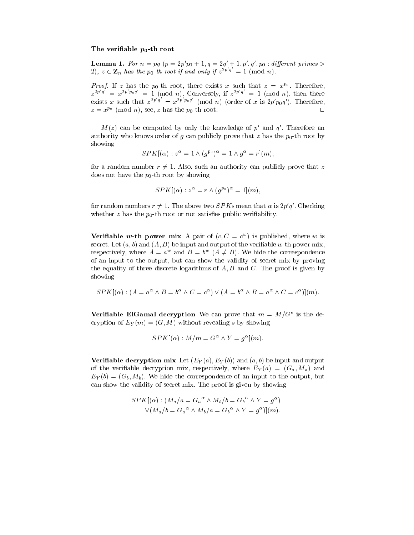### The verifiable  $p_0$ -th root

**Lemma 1.** For  $n = pq$  ( $p = 2p$   $p_0 + 1$ ,  $q = 2q + 1$ ,  $p$ ,  $q$ ,  $p_0$ : ayjerent primes  $\geq$ 2),  $z \in \mathbb{Z}_n$  has the p<sub>0</sub>-th root if and only if  $z^{2p/q} \equiv 1 \pmod{n}$ .

*Proof.* If z has the  $p_0$ -th root, there exists x such that  $z = x^{p_0}$ . Thereft . Therefore, the first state of the first state of the first state of the first state of the first state of the  $z^{2p,q} = x^{2p \cdot p_0q} = 1 \pmod{n}$ . Conversely, if  $z^{2p \cdot q} = 1 \pmod{n}$ , then there exists x such that  $z^{2p-q} = x^{2p \cdot pq} \pmod{n}$  (order of x is  $2p' p_0 q'$ ). Therefore,  $z = x^{p_0} \pmod{n}$ , see, z has the  $p_0$ -th root.

 $M(z)$  can be computed by only the knowledge of  $p$  and  $q$ . Therefore an authority who knows order of g can publicly prove that z has the  $p_0$ -th root by showing

$$
SPK[(\alpha) : z^{\alpha} = 1 \wedge (g^{p_0})^{\alpha} = 1 \wedge g^{\alpha} = r](m),
$$

for a random number  $r \neq 1$ . Also, such an authority can publicly prove that z does not have the  $p_0$ -th root by showing

$$
SPK[(\alpha) : z^{\alpha} = r \wedge (g^{p_0})^{\alpha} = 1](m),
$$

for random numbers  $r \neq 1$ . The above two  $SPK$ s mean that  $\alpha$  is  $2p'q'$ . Checking whether  $z$  has the  $p_0$ -th root or not satisfies public verifiability.

**Verifiable w-th power mix** A pair of  $c, C \equiv c$  ) is published, where w is secret. Let  $(a, b)$  and  $(A, B)$  be input and output of the verifiable w-th power mix, respectively, where  $A = a^w$  and  $B = b^w$   $(A \neq B)$ . We hide the correspondence of an input to the output, but can show the validity of secret mix by proving the equality of three discrete logarithms of  $A, B$  and  $C$ . The proof is given by showing

$$
SPK[(\alpha) : (A = a^{\alpha} \wedge B = b^{\alpha} \wedge C = c^{\alpha}) \vee (A = b^{\alpha} \wedge B = a^{\alpha} \wedge C = c^{\alpha})](m).
$$

**verifiable ElGamal decryption** we can prove that  $m = M/G$  is the decryption of  $E_Y(m)=(G, M)$  without revealing s by showing

$$
SPK[(\alpha): M/m = G^{\alpha} \wedge Y = g^{\alpha}](m).
$$

**Verifiable decryption mix** Let  $(E_Y(a), E_Y(b))$  and  $(a, b)$  be input and output of the verifiable decryption mix, respectively, where  $E_Y(a) = (G_a, M_a)$  and  $E_Y(b)=(G_b, M_b)$ . We hide the correspondence of an input to the output, but can show the validity of secret mix. The proof is given by showing

$$
SPK[(\alpha) : (M_a/a = G_a{}^{\alpha} \wedge M_b/b = G_b{}^{\alpha} \wedge Y = g^{\alpha})
$$
  
 
$$
\vee (M_a/b = G_a{}^{\alpha} \wedge M_b/a = G_b{}^{\alpha} \wedge Y = g^{\alpha})](m).
$$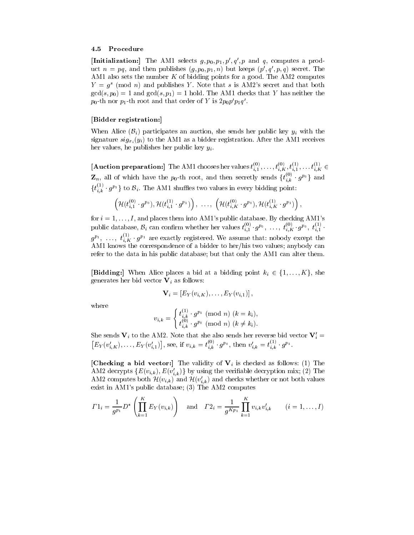### 4.5 Procedure

[Initialization:] The AM1 selects  $g, p_0, p_1, p', q', p$  and q, computes a product  $n = pq$ , and then publishes  $(g, p_0, p_1, n)$  but keeps  $(p', q', p, q)$  secret. The AM1 also sets the number  $K$  of bidding points for a good. The AM2 computes  $Y = g<sup>s</sup>$  (mod n) and publishes Y. Note that s is AM2's secret and that both  $gcd(s, p_0) = 1$  and  $gcd(s, p_1) = 1$  hold. The AM1 checks that Y has neither the  $p_0$ -th nor  $p_1$ -th root and that order of  $Y$  is  $\pmb{\mathcal{Z}} p_0\pmb{\mathcal{p}}\ p_1q$  .

### [Bidder registration:]

When Alice  $(\mathcal{B}_i)$  participates an auction, she sends her public key  $y_i$  with the signature  $sig_{x_i}(y_i)$  to the AM1 as a bidder registration. After the AM1 receives her values, he publishes her public key  $y_i$ .

**[Auction preparation:**] The AM1 chooses her values  $t_{i,1}^{(s)},\ldots,t_{i,K}^{(s)},t_{i,1}^{(s)},\ldots,t_{i,K}^{(s)}$   $\in$  $\mathbf{Z}_n$ , all of which have the  $p_0$ -th root, and then secretly sends  $\{t_{i,k}^{(0)}, t_i, g^{(0)}\}$  and  $\{t_{i,k}^{(1)}\cdot g^{p_1}\}$  to  $\mathcal{B}_i$ . The AM1 shuffles two values in every bidding point:

$$
\left(\mathcal{H}(t_{i,1}^{(0)}\cdot g^{p_0}),\mathcal{H}(t_{i,1}^{(1)}\cdot g^{p_1})\right),~\ldots,~\left(\mathcal{H}(t_{i,K}^{(0)}\cdot g^{p_0}),\mathcal{H}(t_{i,K}^{(1)}\cdot g^{p_1})\right),
$$

for  $i = 1, \ldots, I$ , and places them into AM1's public database. By checking AM1's public database,  $\mathcal{B}_i$  can confirm whether her values  $t_{i,1}^{(0)}$   $g^{p_0}, \ldots, t_{i,K}^{(0)}$   $g^{p_0}, t_{i,1}^{(1)}$ .  $g^{p_1},\ \ldots,\ t_{i,K}^{\times}\cdot g^{p_1}$  are exactly registered. We assume that: nobody except the AM1 knows the correspondence of a bidder to her/his two values; anybody can refer to the data in his public database; but that only the AM1 can alter them.

**[Bidding:**] When Alice places a bid at a bidding point  $k_i \in \{1,\ldots,K\}$ , she generates her bid vector  $V_i$  as follows:

$$
\mathbf{V}_i = \left[ E_Y(v_{i,K}), \ldots, E_Y(v_{i,1}) \right],
$$

where

$$
v_{i,k} = \begin{cases} t_{i,k}^{(1)} \cdot g^{p_1} \pmod{n} \ (k=k_i), \\ t_{i,k}^{(0)} \cdot g^{p_0} \pmod{n} \ (k \neq k_i). \end{cases}
$$

She sends  $V_i$  to the AM2. Note that she also sends her reverse bid vector  $V_i'$  =  $[E_Y(v'_{i,K}),\ldots,E_Y(v'_{i,1})],$  see, if  $v_{i,k}=t^{(0)}_{i,k}$  g<sup>po</sup>, then  $v'_{i,k}=t^{(1)}_{i,k}$  g<sup>p<sub>1</sub></sup>.

[Checking a bid vector:] The validity of  $V_i$  is checked as follows: (1) The AM2 decrypts  $\{E(v_{i,k}), E(v'_{i,k})\}$  by using the verifiable decryption mix; (2) The AM2 computes both  $\mathcal{H}(v_{i,k})$  and  $\mathcal{H}(v'_{i,k})$  and checks whether or not both values exist in AM1's public database; (3) The AM2 computes

$$
\Gamma 1_i = \frac{1}{g^{p_1}} D^* \left( \prod_{k=1}^K E_Y(v_{i,k}) \right) \quad \text{and} \quad \Gamma 2_i = \frac{1}{g^{K p_1}} \prod_{k=1}^K v_{i,k} v'_{i,k} \qquad (i = 1, \dots, I)
$$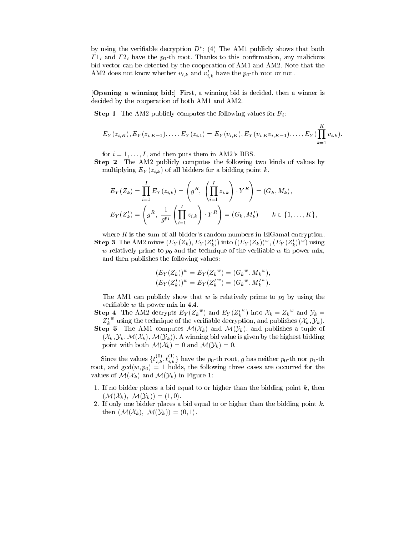by using the verifiable decryption  $D$  ; (4) The AM1 publicly shows that both  $\Gamma$ <sub>1i</sub> and  $\Gamma$ <sub>2i</sub> have the  $p_0$ -th root. Thanks to this confirmation, any malicious bid vector can be detected by the cooperation of AM1 and AM2. Note that the AM2 does not know whether  $v_{i,k}$  and  $v_{i,k}$  have the  $p_0$ -th root or not.

[Opening a winning bid:] First, a winning bid is decided, then a winner is decided by the cooperation of both AM1 and AM2.

**Step 1** The AM2 publicly computes the following values for  $B_i$ .

$$
E_Y(z_{i,K}), E_Y(z_{i,K-1}), \ldots, E_Y(z_{i,1}) = E_Y(v_{i,K}), E_Y(v_{i,K}v_{i,K-1}), \ldots, E_Y(\prod_{k=1}^K v_{i,k}).
$$

for  $i = 1, \ldots, I$ , and then puts them in AM2's BBS.

Step 2 The AM2 publicly computes the following two kinds of values by multiplying  $E_Y(z_{i,k})$  of all bidders for a bidding point k,

$$
E_Y(Z_k) = \prod_{i=1}^I E_Y(z_{i,k}) = \left(g^R, \left(\prod_{i=1}^I z_{i,k}\right) \cdot Y^R\right) = (G_k, M_k),
$$
  

$$
E_Y(Z'_k) = \left(g^R, \frac{1}{g^{p_1}}\left(\prod_{i=1}^I z_{i,k}\right) \cdot Y^R\right) = (G_k, M'_k) \qquad k \in \{1, \dots, K\},
$$

where  $R$  is the sum of all bidder's random numbers in ElGamal encryption. Step 3 The AM2 mixes  $(E_Y(Z_k), E_Y(Z_k))$  into  $((E_Y(Z_k))^*, (E_Y(Z_k))^*)$  using w relatively prime to  $p_0$  and the technique of the verifiable w-th power mix, and then publishes the following values:

$$
(E_Y(Z_k))^w = E_Y(Z_k^w) = (G_k^w, M_k^w),
$$
  

$$
(E_Y(Z'_k))^w = E_Y(Z'_k^w) = (G_k^w, M'_k^w).
$$

The AM1 can publicly show that w is relatively prime to  $p_0$  by using the veriable w-th power mix in 4.4.

**Step 4** The AM2 decrypts  $E_Y(Z_k^w)$  and  $E_Y(Z_k^w)$  into  $\mathcal{X}_k = Z_k^w$  and  $\mathcal{Y}_k =$  $Z_k^{\prime w}$  using the technique of the verifiable decryption, and publishes  $(\mathcal{X}_k, \mathcal{Y}_k)$ .

**Step 5** The AM1 computes  $\mathcal{M}(\mathcal{X}_k)$  and  $\mathcal{M}(\mathcal{Y}_k)$ , and publishes a tuple of  $(\mathcal{X}_k, \mathcal{Y}_k, \mathcal{M}(\mathcal{X}_k), \mathcal{M}(\mathcal{Y}_k))$ . A winning bid value is given by the highest bidding point with both  $\mathcal{M}(\mathcal{X}_k) = 0$  and  $\mathcal{M}(\mathcal{Y}_k) = 0$ .

Since the values  $\{t_{i,k}^{(0)}, t_{i,k}^{(1)}\}$  have the  $p_0$ -th root, g has neither  $p_0$ -th nor  $p_1$ -th root, and  $gcd(w, p_0) = 1$  holds, the following three cases are occurred for the values of  $\mathcal{M}(\mathcal{X}_k)$  and  $\mathcal{M}(\mathcal{Y}_k)$  in Figure 1:

- 1. If no bidder places a bid equal to or higher than the bidding point  $k$ , then  $(\mathcal{M}(\mathcal{X}_k), \mathcal{M}(\mathcal{Y}_k)) = (1, 0).$
- 2. If only one bidder places a bid equal to or higher than the bidding point  $k$ , then  $(\mathcal{M}(\mathcal{X}_k), \mathcal{M}(\mathcal{Y}_k)) = (0, 1).$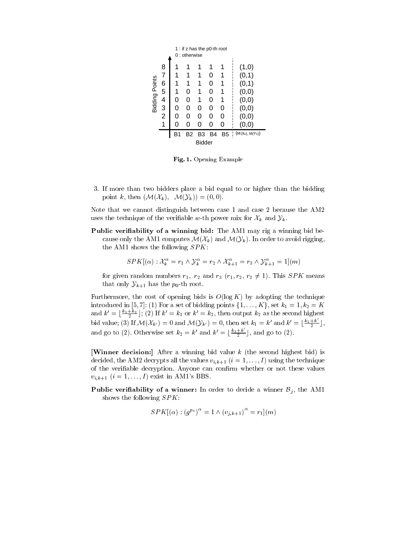|                       |                                                          |                   | $0:$ otherwise              | 1: if z has the p0-th root       |                                       |                                  |                                                                                                |
|-----------------------|----------------------------------------------------------|-------------------|-----------------------------|----------------------------------|---------------------------------------|----------------------------------|------------------------------------------------------------------------------------------------|
| <b>Bidding Points</b> | 8<br>$\overline{7}$<br>6<br>5<br>4<br>$\frac{3}{2}$<br>1 | 0<br>0<br>0<br>B1 | 0<br>0<br>0<br>O<br>ი<br>B2 | 1<br>1<br>1<br>0<br>O<br>ი<br>B3 | 0<br>0<br>0<br>0<br>0<br>0<br>ი<br>B4 | 1<br>1<br>1<br>0<br>0<br>ი<br>B5 | (1,0)<br>(0,1)<br>(0,1)<br>(0, 0)<br>(0, 0)<br>(0, 0)<br>(0, 0)<br>(0,0)<br>$(M(X_k), M(Y_k))$ |
|                       |                                                          |                   |                             | <b>Bidder</b>                    |                                       |                                  |                                                                                                |

Fig. 1. Opening Example

3. If more than two bidders place a bid equal to or higher than the bidding point k, then  $(\mathcal{M}(\mathcal{X}_k), \mathcal{M}(\mathcal{Y}_k)) = (0, 0).$ 

Note that we cannot distinguish between case 1 and case 2 because the AM2 uses the technique of the verifiable w-th power mix for  $\mathcal{X}_k$  and  $\mathcal{Y}_k$ .

Public verifiability of a winning bid: The AM1 may rig a winning bid because only the AM1 computes  $\mathcal{M}(\mathcal{X}_k)$  and  $\mathcal{M}(\mathcal{Y}_k)$ . In order to avoid rigging, the AM1 shows the following  $SPK$ :

$$
SPK[(\alpha) : \mathcal{X}_k^{\alpha} = r_1 \wedge \mathcal{Y}_k^{\alpha} = r_2 \wedge \mathcal{X}_{k+1}^{\alpha} = r_3 \wedge \mathcal{Y}_{k+1}^{\alpha} = 1](m)
$$

for given random numbers  $r_1$ ,  $r_2$  and  $r_3$   $(r_1, r_2, r_3 \neq 1)$ . This SPK means that only  $\mathcal{Y}_{k+1}$  has the  $p_0$ -th root.

Furthermore, the cost of opening bids is  $O(\log K)$  by adopting the technique introduced in [5, 7]: (1) For a set of bidding points  $\{1,\ldots,K\}$ , set  $k_1 = 1, k_2 = K$ and  $k' = \lfloor \frac{k_1+k_2}{2} \rfloor$ ; (2) If  $k'=k_1$  or  $k'=k_2,$  then output  $k_2$  as the second highest bid value; (3) If  $\mathcal{M}(\mathcal{X}_{k'}) = 0$  and  $\mathcal{M}(\mathcal{Y}_{k'}) = 0$ , then set  $k_1 = k'$  and  $k' = \lfloor \frac{k_2 + k}{2} \rfloor$ , and go to (2). Otherwise set  $k_2 = k'$  and  $k' = \lfloor \frac{k_1+k}{2} \rfloor$ , and go to (2).

[Winner decision:] After a winning bid value  $k$  (the second highest bid) is decided, the AM2 decrypts all the values  $v_{i,k+1}$   $(i = 1, \ldots, I)$  using the technique of the verifiable decryption. Anyone can confirm whether or not these values  $v_{i,k+1}$   $(i = 1,\ldots,I)$  exist in AM1's BBS.

**Public verifiability of a winner:** In order to decide a winner  $\mathcal{B}_j$ , the AM1 shows the following SPK:

$$
SPK[(\alpha) : (g^{p_0})^{\alpha} = 1 \wedge (v_{j,k+1})^{\alpha} = r_1](m)
$$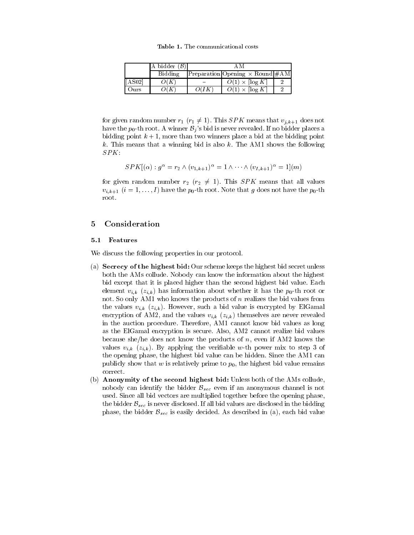Table 1. The communicational costs

|         | A bidder $(\mathcal{B})$ | ΑM    |                                          |  |
|---------|--------------------------|-------|------------------------------------------|--|
|         | Bidding                  |       | $ Preparation Opening \times Round #AM $ |  |
| [AA802] | O(K)                     |       | $O(1) \times \lceil \log K \rceil$       |  |
| Ours    | O(K)                     | O (IK | $O(1) \times \lceil \log K \rceil$       |  |

for given random number  $r_1$   $(r_1 \neq 1)$ . This SPK means that  $v_{j,k+1}$  does not have the  $p_0$ -th root. A winner  $\mathcal{B}_i$ 's bid is never revealed. If no bidder places a bidding point  $k + 1$ , more than two winners place a bid at the bidding point  $k$ . This means that a winning bid is also  $k$ . The AM1 shows the following SPK:

$$
SPK|(\alpha) : g^{\alpha} = r_2 \wedge (v_{1,k+1})^{\alpha} = 1 \wedge \cdots \wedge (v_{I,k+1})^{\alpha} = 1|(m)
$$

for given random number  $r_2$  ( $r_2 \neq 1$ ). This SPK means that all values  $v_{i,k+1}$   $(i = 1,..., I)$  have the  $p_0$ -th root. Note that g does not have the  $p_0$ -th root.

## <sup>5</sup> Consideration

### 5.1 Features

We discuss the following properties in our protocol.

- (a) Secrecy of the highest bid: Our scheme keeps the highest bid secret unless both the AMs collude. Nobody can know the information about the highest bid except that it is placed higher than the second highest bid value. Each element  $v_{i,k}$  ( $z_{i,k}$ ) has information about whether it has the  $p_0$ -th root or not. So only AM1 who knows the products of n realizes the bid values from the values  $v_{i,k}$  ( $z_{i,k}$ ). However, such a bid value is encrypted by ElGamal encryption of AM2, and the values  $v_{i,k}$  ( $z_{i,k}$ ) themselves are never revealed in the auction procedure. Therefore, AM1 cannot know bid values as long as the ElGamal encryption is secure. Also, AM2 cannot realize bid values because she/he does not know the products of  $n$ , even if AM2 knows the values  $v_{i,k}$  ( $z_{i,k}$ ). By applying the verifiable w-th power mix to step 3 of the opening phase, the highest bid value can be hidden. Since the AM1 can publicly show that  $w$  is relatively prime to  $p_0$ , the highest bid value remains correct.
- (b) Anonymity of the second highest bid: Unless both of the AMs collude, nobody can identify the bidder  $\mathcal{B}_{sec}$  even if an anonymous channel is not used. Since all bid vectors are multiplied together before the opening phase, the bidder  $\mathcal{B}_{sec}$  is never disclosed. If all bid values are disclosed in the bidding phase, the bidder  $\mathcal{B}_{sec}$  is easily decided. As described in (a), each bid value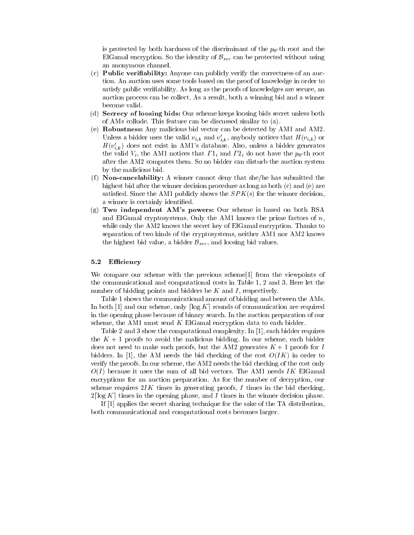is protected by both hardness of the discriminant of the  $p_0$ -th root and the ElGamal encryption. So the identity of  $\mathcal{B}_{sec}$  can be protected without using an anonymous channel.

- (c) Public veriability: Anyone can publicly verify the correctness of an auction. An auction uses some tools based on the proof of knowledge in order to satisfy public veriability. As long as the proofs of knowledges are secure, an auction process can be collect. As a result, both a winning bid and a winner become valid.
- (d) Secrecy of loosing bids: Our scheme keeps loosing bids secret unless both of AMs collude. This feature can be discussed similar to (a).
- (e) Robustness: Any malicious bid vector can be detected by AM1 and AM2. Unless a bidder uses the valid  $v_{i,k}$  and  $v'_{i,k}$ , anybody notices that  $H(v_{i,k})$  or  $H(v'_{i,k})$  does not exist in AM1's database. Also, unless a bidder generates the valid  $V_i$ , the AM1 notices that  $\Gamma_{i}$  and  $\Gamma_{i}$  do not have the  $p_0$ -th root after the AM2 computes them. So no bidder can disturb the auction system by the malicious bid.
- (f) Non-cancelability: A winner cannot deny that she/he has submitted the highest bid after the winner decision procedure as long as both (c) and (e) are satisfied. Since the AM1 publicly shows the  $SPK(s)$  for the winner decision, a winner is certainly identied.
- (g) Two independent AM's powers: Our scheme is based on both RSA and ElGamal cryptosystems. Only the AM1 knows the prime factors of  $n$ . while only the AM2 knows the secret key of ElGamal encryption. Thanks to separation of two kinds of the cryptosystems, neither AM1 nor AM2 knows the highest bid value, a bidder  $\mathcal{B}_{sec}$ , and loosing bid values.

### 5.2 Efficiency

We compare our scheme with the previous scheme<sup>[1]</sup> from the viewpoints of the communicational and computational costs in Table 1, 2 and 3. Here let the number of bidding points and bidders be  $K$  and  $I$ , respectively.

Table 1 shows the communicational amount of bidding and between the AMs. In both  $[1]$  and our scheme, only  $\lceil \log K \rceil$  rounds of communication are required in the opening phase because of binary search. In the auction preparation of our scheme, the AM1 must send  $K$  ElGamal encryption data to each bidder.

Table 2 and 3 show the computational complexity. In [1], each bidder requires the  $K + 1$  proofs to avoid the malicious bidding. In our scheme, each bidder does not need to make such proofs, but the AM2 generates  $K + 1$  proofs for I bidders. In [1], the AM needs the bid checking of the cost  $O(IK)$  in order to verify the proofs. In our scheme, the AM2 needs the bid checking of the cost only  $O(I)$  because it uses the sum of all bid vectors. The AM1 needs IK ElGamal encryptions for an auction preparation. As for the number of decryption, our scheme requires  $2IK$  times in generating proofs, I times in the bid checking,  $2\lceil \log K \rceil$  times in the opening phase, and I times in the winner decision phase.

If [1] applies the secret sharing technique for the sake of the TA distribution, both communicational and computational costs becomes larger.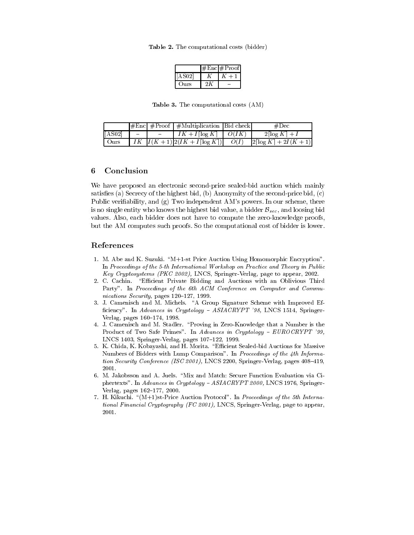Table 2. The computational costs (bidder)

|        | #Enc#Proof |
|--------|------------|
| [AS02] |            |
| Ours)  |            |

Table 3. The computational costs (AM)

|                   |        |                         | $\left \# \text{Enc}\right  \# \text{Proof} \left  \# \text{Multiplication} \right $ |      | #Dec                                               |
|-------------------|--------|-------------------------|--------------------------------------------------------------------------------------|------|----------------------------------------------------|
| $\sqrt{[A S 02]}$ | $\sim$ | and the contract of the | $IK + I[\log K]$   $O(IK)$                                                           |      | $2\lceil \log K \rceil + I$                        |
| Ours              |        |                         | $IK \left[ I(K+1) \right] 2 (IK + I \left[ \log K \right])$                          | O(I) | $\lfloor 2 \lceil \log K \rceil + 2I(K+1) \rfloor$ |

### **Conclusion** 6

We have proposed an electronic second-price sealed-bid auction which mainly satisfies (a) Secrecy of the highest bid, (b) Anonymity of the second-price bid,  $(c)$ Public verifiability, and (g) Two independent AM's powers. In our scheme, there is no single entity who knows the highest bid value, a bidder  $\mathcal{B}_{sec}$ , and loosing bid values. Also, each bidder does not have to compute the zero-knowledge proofs, but the AM computes such proofs. So the computational cost of bidder is lower.

## References

- 1. M. Abe and K. Suzuki. \M+1-st Price Auction Using Homomorphic Encryption". In Proceedings of the 5-th International Workshop on Practice and Theory in Public Key Cryptosystems (PKC 2002), LNCS, Springer-Verlag, page to appear, 2002.
- 2. C. Cachin. "Efficient Private Bidding and Auctions with an Oblivious Third Party". In Proceedings of the 6th ACM Conference on Computer and Communications Security, pages  $120-127$ , 1999.
- 3. J. Camenisch and M. Michels. "A Group Signature Scheme with Improved Efficiency". In Advances in Cryptology -  $ASIACRYPT$  '98, LNCS 1514, Springer-Verlag, pages 160-174, 1998.
- 4. J. Camenisch and M. Stadler. \Proving in Zero-Knowledge that a Number is the Product of Two Safe Primes". In Advances in Cryptology - EUROCRYPT '99, LNCS 1403, Springer-Verlag, pages 107-122, 1999.
- 5. K. Chida, K. Kobayashi, and H. Morita. \Ecient Sealed-bid Auctions for Massive Numbers of Bidders with Lump Comparison". In Proceedings of the 4th Information Security Conference (ISC 2001), LNCS 2200, Springer-Verlag, pages  $408-419$ , 2001.
- 6. M. Jakobsson and A. Juels. "Mix and Match: Secure Function Evaluation via Ciphertexts". In Advances in Cryptology - ASIACRYPT 2000, LNCS 1976, Springer-Verlag, pages 162-177, 2000.
- 7. H. Kikuchi.  $\{(M+1)\text{st-Price}\}$ Auction Protocol". In *Proceedings of the 5th Interna*tional Financial Cryptography (FC 2001), LNCS, Springer-Verlag, page to appear, 2001.